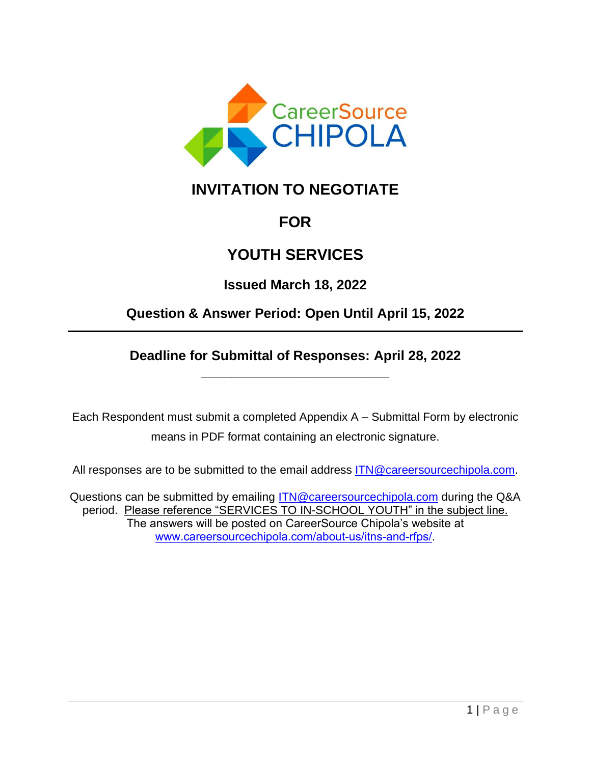

# **INVITATION TO NEGOTIATE**

# **FOR**

## **YOUTH SERVICES**

## **Issued March 18, 2022**

## **Question & Answer Period: Open Until April 15, 2022**

## **Deadline for Submittal of Responses: April 28, 2022 \_\_\_\_\_\_\_\_\_\_\_\_\_\_\_\_\_\_\_\_\_\_\_\_\_**

Each Respondent must submit a completed Appendix A – Submittal Form by electronic means in PDF format containing an electronic signature.

All responses are to be submitted to the email address [ITN@careersourcechipola.com.](mailto:ITN@careersourcechipola.com)

Questions can be submitted by emailing **ITN@careersourcechipola.com** during the Q&A period. Please reference "SERVICES TO IN-SCHOOL YOUTH" in the subject line. The answers will be posted on CareerSource Chipola's website at [www.careersourcechipola.com/about-us/itns-and-rfps/](http://www.careersourcechipola.com/AboutUs/CurrentRFPsandBids).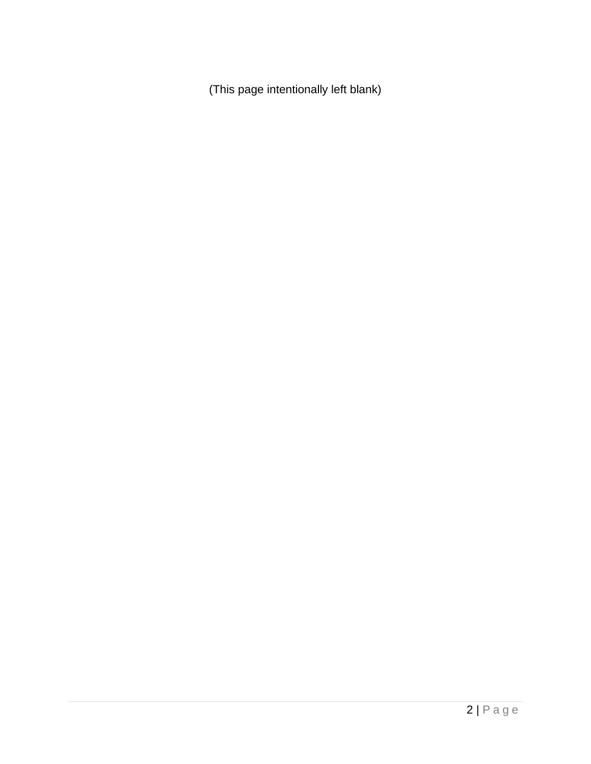(This page intentionally left blank)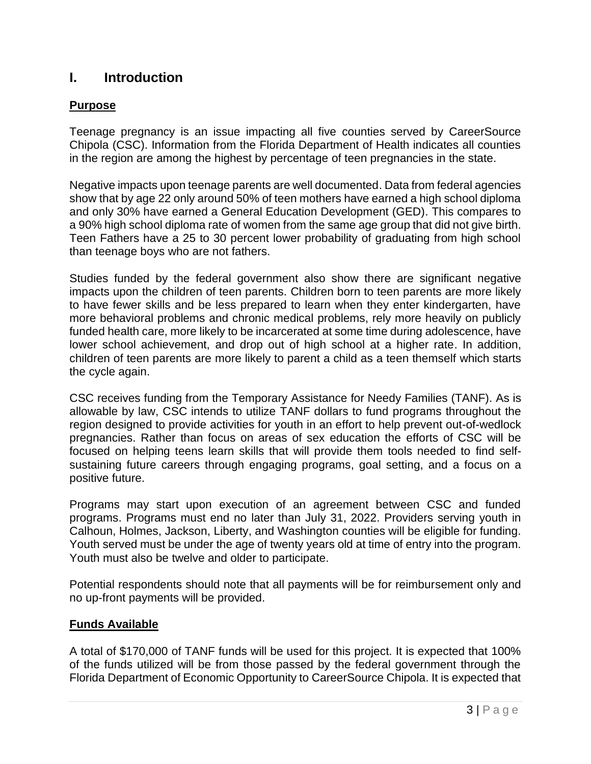## **I. Introduction**

#### **Purpose**

Teenage pregnancy is an issue impacting all five counties served by CareerSource Chipola (CSC). Information from the Florida Department of Health indicates all counties in the region are among the highest by percentage of teen pregnancies in the state.

Negative impacts upon teenage parents are well documented. Data from federal agencies show that by age 22 only around 50% of teen mothers have earned a high school diploma and only 30% have earned a General Education Development (GED). This compares to a 90% high school diploma rate of women from the same age group that did not give birth. Teen Fathers have a 25 to 30 percent lower probability of graduating from high school than teenage boys who are not fathers.

Studies funded by the federal government also show there are significant negative impacts upon the children of teen parents. Children born to teen parents are more likely to have fewer skills and be less prepared to learn when they enter kindergarten, have more behavioral problems and chronic medical problems, rely more heavily on publicly funded health care, more likely to be incarcerated at some time during adolescence, have lower school achievement, and drop out of high school at a higher rate. In addition, children of teen parents are more likely to parent a child as a teen themself which starts the cycle again.

CSC receives funding from the Temporary Assistance for Needy Families (TANF). As is allowable by law, CSC intends to utilize TANF dollars to fund programs throughout the region designed to provide activities for youth in an effort to help prevent out-of-wedlock pregnancies. Rather than focus on areas of sex education the efforts of CSC will be focused on helping teens learn skills that will provide them tools needed to find selfsustaining future careers through engaging programs, goal setting, and a focus on a positive future.

Programs may start upon execution of an agreement between CSC and funded programs. Programs must end no later than July 31, 2022. Providers serving youth in Calhoun, Holmes, Jackson, Liberty, and Washington counties will be eligible for funding. Youth served must be under the age of twenty years old at time of entry into the program. Youth must also be twelve and older to participate.

Potential respondents should note that all payments will be for reimbursement only and no up-front payments will be provided.

#### **Funds Available**

A total of \$170,000 of TANF funds will be used for this project. It is expected that 100% of the funds utilized will be from those passed by the federal government through the Florida Department of Economic Opportunity to CareerSource Chipola. It is expected that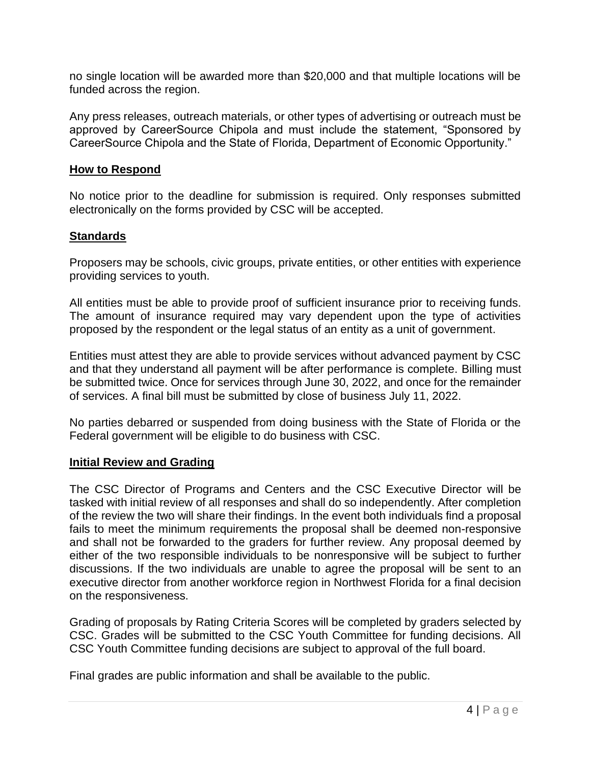no single location will be awarded more than \$20,000 and that multiple locations will be funded across the region.

Any press releases, outreach materials, or other types of advertising or outreach must be approved by CareerSource Chipola and must include the statement, "Sponsored by CareerSource Chipola and the State of Florida, Department of Economic Opportunity."

#### **How to Respond**

No notice prior to the deadline for submission is required. Only responses submitted electronically on the forms provided by CSC will be accepted.

#### **Standards**

Proposers may be schools, civic groups, private entities, or other entities with experience providing services to youth.

All entities must be able to provide proof of sufficient insurance prior to receiving funds. The amount of insurance required may vary dependent upon the type of activities proposed by the respondent or the legal status of an entity as a unit of government.

Entities must attest they are able to provide services without advanced payment by CSC and that they understand all payment will be after performance is complete. Billing must be submitted twice. Once for services through June 30, 2022, and once for the remainder of services. A final bill must be submitted by close of business July 11, 2022.

No parties debarred or suspended from doing business with the State of Florida or the Federal government will be eligible to do business with CSC.

#### **Initial Review and Grading**

The CSC Director of Programs and Centers and the CSC Executive Director will be tasked with initial review of all responses and shall do so independently. After completion of the review the two will share their findings. In the event both individuals find a proposal fails to meet the minimum requirements the proposal shall be deemed non-responsive and shall not be forwarded to the graders for further review. Any proposal deemed by either of the two responsible individuals to be nonresponsive will be subject to further discussions. If the two individuals are unable to agree the proposal will be sent to an executive director from another workforce region in Northwest Florida for a final decision on the responsiveness.

Grading of proposals by Rating Criteria Scores will be completed by graders selected by CSC. Grades will be submitted to the CSC Youth Committee for funding decisions. All CSC Youth Committee funding decisions are subject to approval of the full board.

Final grades are public information and shall be available to the public.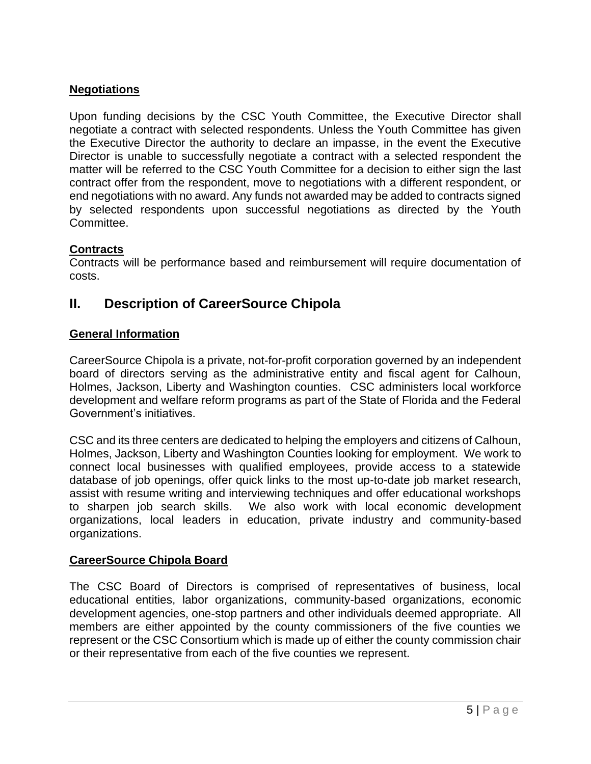#### **Negotiations**

Upon funding decisions by the CSC Youth Committee, the Executive Director shall negotiate a contract with selected respondents. Unless the Youth Committee has given the Executive Director the authority to declare an impasse, in the event the Executive Director is unable to successfully negotiate a contract with a selected respondent the matter will be referred to the CSC Youth Committee for a decision to either sign the last contract offer from the respondent, move to negotiations with a different respondent, or end negotiations with no award. Any funds not awarded may be added to contracts signed by selected respondents upon successful negotiations as directed by the Youth Committee.

#### **Contracts**

Contracts will be performance based and reimbursement will require documentation of costs.

### **II. Description of CareerSource Chipola**

#### **General Information**

CareerSource Chipola is a private, not-for-profit corporation governed by an independent board of directors serving as the administrative entity and fiscal agent for Calhoun, Holmes, Jackson, Liberty and Washington counties. CSC administers local workforce development and welfare reform programs as part of the State of Florida and the Federal Government's initiatives.

CSC and its three centers are dedicated to helping the employers and citizens of Calhoun, Holmes, Jackson, Liberty and Washington Counties looking for employment. We work to connect local businesses with qualified employees, provide access to a statewide database of job openings, offer quick links to the most up-to-date job market research, assist with resume writing and interviewing techniques and offer educational workshops to sharpen job search skills. We also work with local economic development organizations, local leaders in education, private industry and community-based organizations.

#### **CareerSource Chipola Board**

The CSC Board of Directors is comprised of representatives of business, local educational entities, labor organizations, community-based organizations, economic development agencies, one-stop partners and other individuals deemed appropriate. All members are either appointed by the county commissioners of the five counties we represent or the CSC Consortium which is made up of either the county commission chair or their representative from each of the five counties we represent.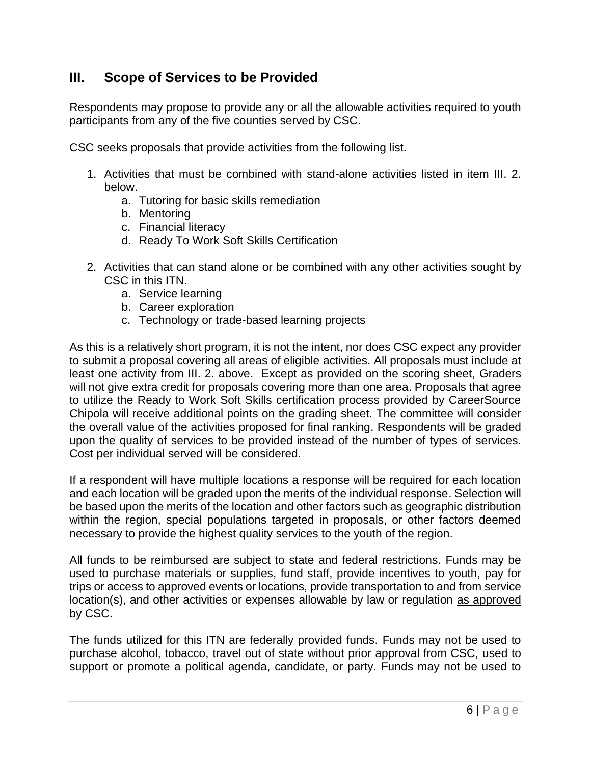## **III. Scope of Services to be Provided**

Respondents may propose to provide any or all the allowable activities required to youth participants from any of the five counties served by CSC.

CSC seeks proposals that provide activities from the following list.

- 1. Activities that must be combined with stand-alone activities listed in item III. 2. below.
	- a. Tutoring for basic skills remediation
	- b. Mentoring
	- c. Financial literacy
	- d. Ready To Work Soft Skills Certification
- 2. Activities that can stand alone or be combined with any other activities sought by CSC in this ITN.
	- a. Service learning
	- b. Career exploration
	- c. Technology or trade-based learning projects

As this is a relatively short program, it is not the intent, nor does CSC expect any provider to submit a proposal covering all areas of eligible activities. All proposals must include at least one activity from III. 2. above. Except as provided on the scoring sheet, Graders will not give extra credit for proposals covering more than one area. Proposals that agree to utilize the Ready to Work Soft Skills certification process provided by CareerSource Chipola will receive additional points on the grading sheet. The committee will consider the overall value of the activities proposed for final ranking. Respondents will be graded upon the quality of services to be provided instead of the number of types of services. Cost per individual served will be considered.

If a respondent will have multiple locations a response will be required for each location and each location will be graded upon the merits of the individual response. Selection will be based upon the merits of the location and other factors such as geographic distribution within the region, special populations targeted in proposals, or other factors deemed necessary to provide the highest quality services to the youth of the region.

All funds to be reimbursed are subject to state and federal restrictions. Funds may be used to purchase materials or supplies, fund staff, provide incentives to youth, pay for trips or access to approved events or locations, provide transportation to and from service location(s), and other activities or expenses allowable by law or regulation as approved by CSC.

The funds utilized for this ITN are federally provided funds. Funds may not be used to purchase alcohol, tobacco, travel out of state without prior approval from CSC, used to support or promote a political agenda, candidate, or party. Funds may not be used to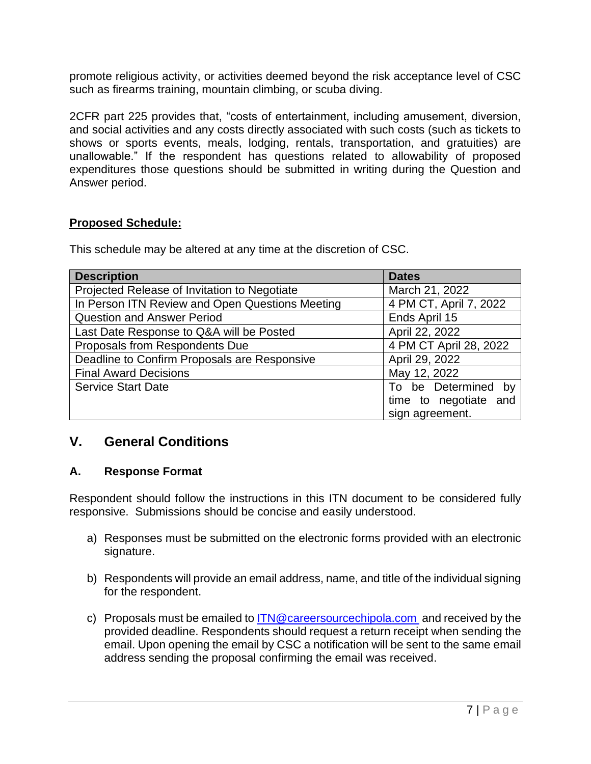promote religious activity, or activities deemed beyond the risk acceptance level of CSC such as firearms training, mountain climbing, or scuba diving.

2CFR part 225 provides that, "costs of entertainment, including amusement, diversion, and social activities and any costs directly associated with such costs (such as tickets to shows or sports events, meals, lodging, rentals, transportation, and gratuities) are unallowable." If the respondent has questions related to allowability of proposed expenditures those questions should be submitted in writing during the Question and Answer period.

#### **Proposed Schedule:**

This schedule may be altered at any time at the discretion of CSC.

| <b>Description</b>                              | <b>Dates</b>           |
|-------------------------------------------------|------------------------|
| Projected Release of Invitation to Negotiate    | March 21, 2022         |
| In Person ITN Review and Open Questions Meeting | 4 PM CT, April 7, 2022 |
| <b>Question and Answer Period</b>               | Ends April 15          |
| Last Date Response to Q&A will be Posted        | April 22, 2022         |
| Proposals from Respondents Due                  | 4 PM CT April 28, 2022 |
| Deadline to Confirm Proposals are Responsive    | April 29, 2022         |
| <b>Final Award Decisions</b>                    | May 12, 2022           |
| <b>Service Start Date</b>                       | To be Determined<br>by |
|                                                 | time to negotiate and  |
|                                                 | sign agreement.        |

#### **V. General Conditions**

#### **A. Response Format**

Respondent should follow the instructions in this ITN document to be considered fully responsive. Submissions should be concise and easily understood.

- a) Responses must be submitted on the electronic forms provided with an electronic signature.
- b) Respondents will provide an email address, name, and title of the individual signing for the respondent.
- c) Proposals must be emailed to [ITN@careersourcechipola.com](mailto:ITN@careersourcechipola.com) and received by the provided deadline. Respondents should request a return receipt when sending the email. Upon opening the email by CSC a notification will be sent to the same email address sending the proposal confirming the email was received.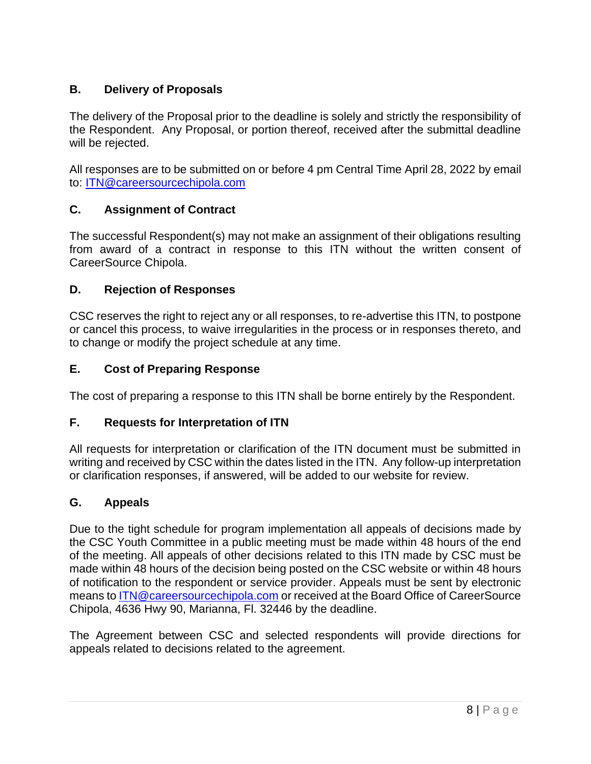#### **B. Delivery of Proposals**

The delivery of the Proposal prior to the deadline is solely and strictly the responsibility of the Respondent. Any Proposal, or portion thereof, received after the submittal deadline will be rejected.

All responses are to be submitted on or before 4 pm Central Time April 28, 2022 by email to: [ITN@careersourcechipola.com](mailto:ITN@careersourcechipola.com)

#### **C. Assignment of Contract**

The successful Respondent(s) may not make an assignment of their obligations resulting from award of a contract in response to this ITN without the written consent of CareerSource Chipola.

#### **D. Rejection of Responses**

CSC reserves the right to reject any or all responses, to re-advertise this ITN, to postpone or cancel this process, to waive irregularities in the process or in responses thereto, and to change or modify the project schedule at any time.

#### **E. Cost of Preparing Response**

The cost of preparing a response to this ITN shall be borne entirely by the Respondent.

#### **F. Requests for Interpretation of ITN**

All requests for interpretation or clarification of the ITN document must be submitted in writing and received by CSC within the dates listed in the ITN. Any follow-up interpretation or clarification responses, if answered, will be added to our website for review.

#### **G. Appeals**

Due to the tight schedule for program implementation all appeals of decisions made by the CSC Youth Committee in a public meeting must be made within 48 hours of the end of the meeting. All appeals of other decisions related to this ITN made by CSC must be made within 48 hours of the decision being posted on the CSC website or within 48 hours of notification to the respondent or service provider. Appeals must be sent by electronic means to [ITN@careersourcechipola.com](mailto:ITN@careersourcechipola.com) or received at the Board Office of CareerSource Chipola, 4636 Hwy 90, Marianna, Fl. 32446 by the deadline.

The Agreement between CSC and selected respondents will provide directions for appeals related to decisions related to the agreement.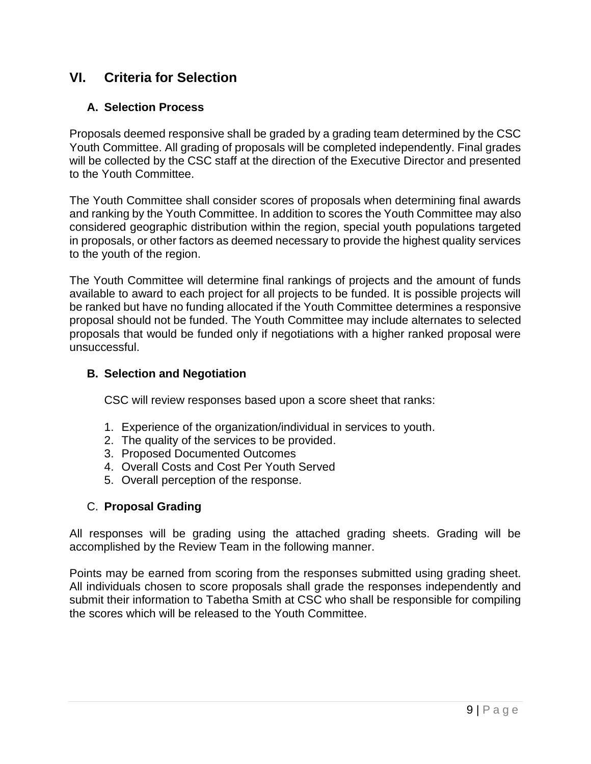## **VI. Criteria for Selection**

#### **A. Selection Process**

Proposals deemed responsive shall be graded by a grading team determined by the CSC Youth Committee. All grading of proposals will be completed independently. Final grades will be collected by the CSC staff at the direction of the Executive Director and presented to the Youth Committee.

The Youth Committee shall consider scores of proposals when determining final awards and ranking by the Youth Committee. In addition to scores the Youth Committee may also considered geographic distribution within the region, special youth populations targeted in proposals, or other factors as deemed necessary to provide the highest quality services to the youth of the region.

The Youth Committee will determine final rankings of projects and the amount of funds available to award to each project for all projects to be funded. It is possible projects will be ranked but have no funding allocated if the Youth Committee determines a responsive proposal should not be funded. The Youth Committee may include alternates to selected proposals that would be funded only if negotiations with a higher ranked proposal were unsuccessful.

#### **B. Selection and Negotiation**

CSC will review responses based upon a score sheet that ranks:

- 1. Experience of the organization/individual in services to youth.
- 2. The quality of the services to be provided.
- 3. Proposed Documented Outcomes
- 4. Overall Costs and Cost Per Youth Served
- 5. Overall perception of the response.

#### C. **Proposal Grading**

All responses will be grading using the attached grading sheets. Grading will be accomplished by the Review Team in the following manner.

Points may be earned from scoring from the responses submitted using grading sheet. All individuals chosen to score proposals shall grade the responses independently and submit their information to Tabetha Smith at CSC who shall be responsible for compiling the scores which will be released to the Youth Committee.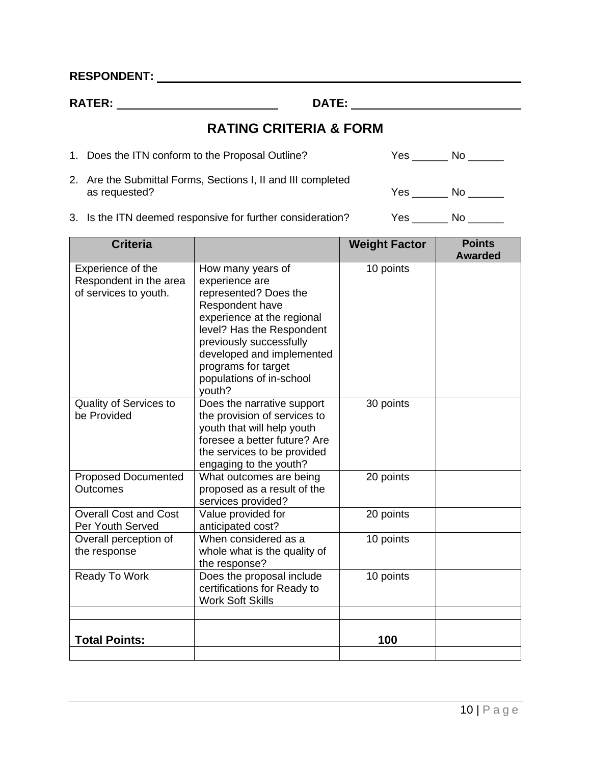## **RESPONDENT:**

**RATER: DATE:** 

## **RATING CRITERIA & FORM**

1. Does the ITN conform to the Proposal Outline? Yes \_\_\_\_\_\_ No \_\_\_\_\_\_

- 2. Are the Submittal Forms, Sections I, II and III completed as requested? The contract of the contract of the contract of the contract of the contract of the contract of the contract of the contract of the contract of the contract of the contract of the contract of the contract of
- 3. Is the ITN deemed responsive for further consideration? Yes \_\_\_\_\_\_ No \_\_\_\_\_\_

| <b>Criteria</b>                                                      |                                                                                                                                                                                                                                                                 | <b>Weight Factor</b> | <b>Points</b><br><b>Awarded</b> |
|----------------------------------------------------------------------|-----------------------------------------------------------------------------------------------------------------------------------------------------------------------------------------------------------------------------------------------------------------|----------------------|---------------------------------|
| Experience of the<br>Respondent in the area<br>of services to youth. | How many years of<br>experience are<br>represented? Does the<br>Respondent have<br>experience at the regional<br>level? Has the Respondent<br>previously successfully<br>developed and implemented<br>programs for target<br>populations of in-school<br>youth? | 10 points            |                                 |
| Quality of Services to<br>be Provided                                | Does the narrative support<br>the provision of services to<br>youth that will help youth<br>foresee a better future? Are<br>the services to be provided<br>engaging to the youth?                                                                               | 30 points            |                                 |
| <b>Proposed Documented</b><br>Outcomes                               | What outcomes are being<br>proposed as a result of the<br>services provided?                                                                                                                                                                                    | 20 points            |                                 |
| <b>Overall Cost and Cost</b><br>Per Youth Served                     | Value provided for<br>anticipated cost?                                                                                                                                                                                                                         | 20 points            |                                 |
| Overall perception of<br>the response                                | When considered as a<br>whole what is the quality of<br>the response?                                                                                                                                                                                           | 10 points            |                                 |
| Ready To Work                                                        | Does the proposal include<br>certifications for Ready to<br><b>Work Soft Skills</b>                                                                                                                                                                             | 10 points            |                                 |
| <b>Total Points:</b>                                                 |                                                                                                                                                                                                                                                                 | 100                  |                                 |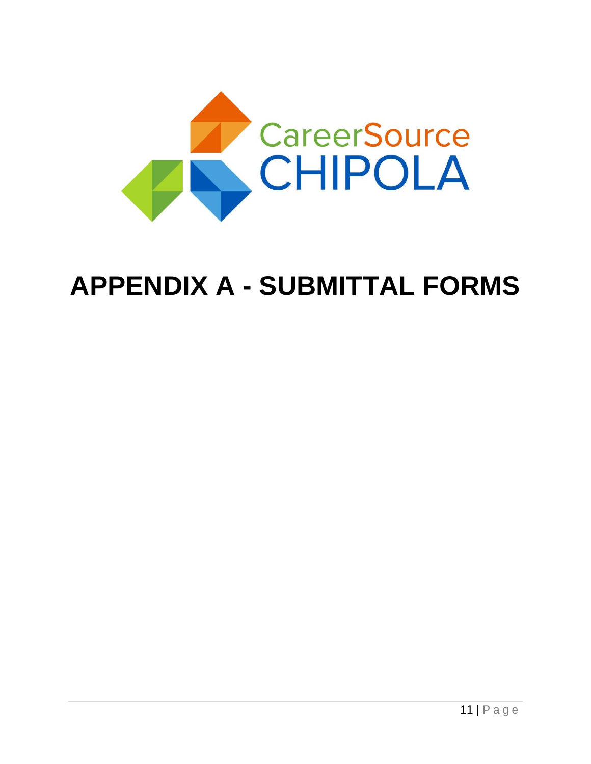

# **APPENDIX A - SUBMITTAL FORMS**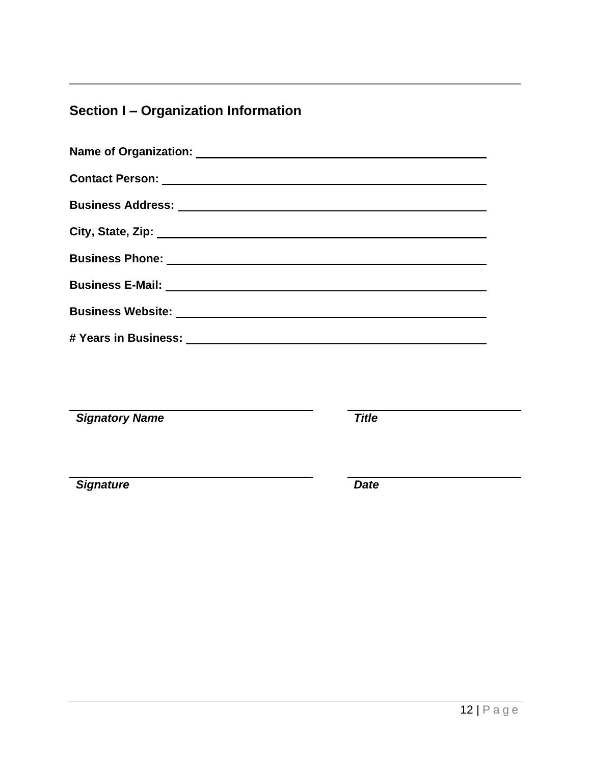# **Section I – Organization Information**

**Signatory Name** Title

**Signature Date**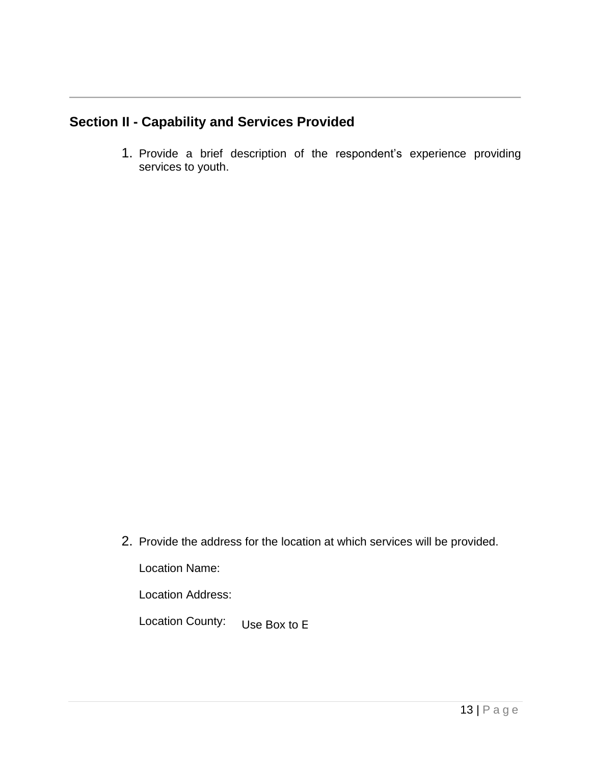## **Section II - Capability and Services Provided**

1. Provide a brief description of the respondent's experience providing services to youth.

2. Provide the address for the location at which services will be provided. Location Name:

Location Address:

Location County: Use Box to  $E$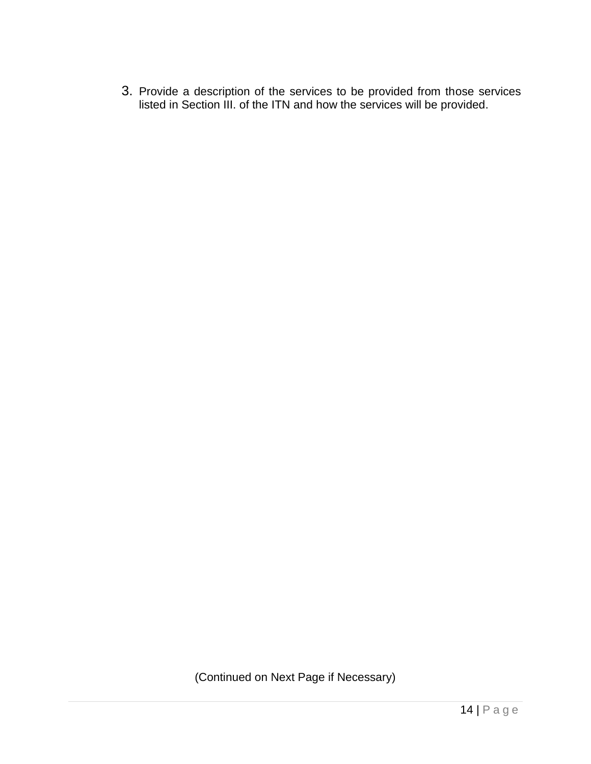3. Provide a description of the services to be provided from those services listed in Section III. of the ITN and how the services will be provided.

(Continued on Next Page if Necessary)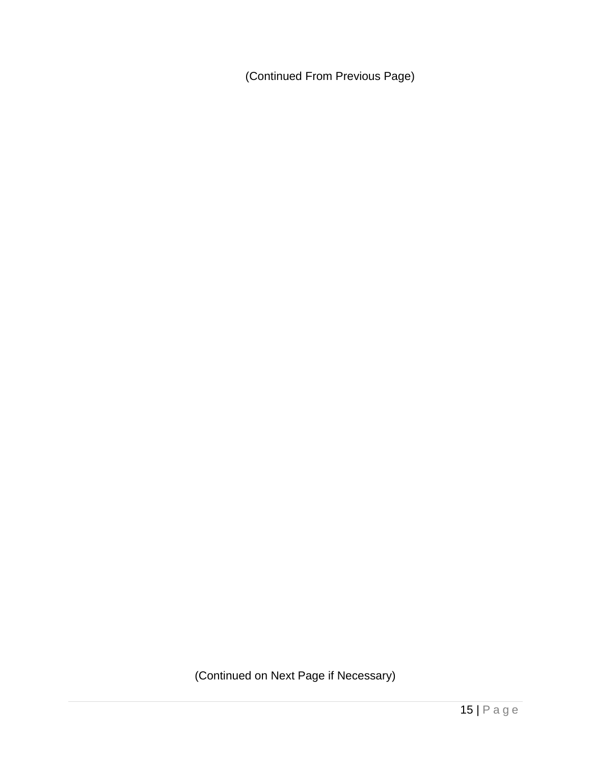(Continued From Previous Page)

(Continued on Next Page if Necessary)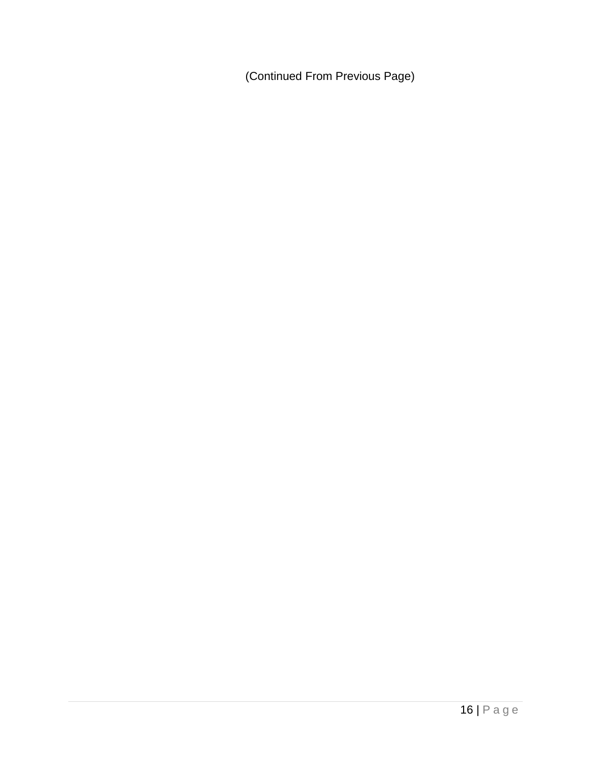(Continued From Previous Page)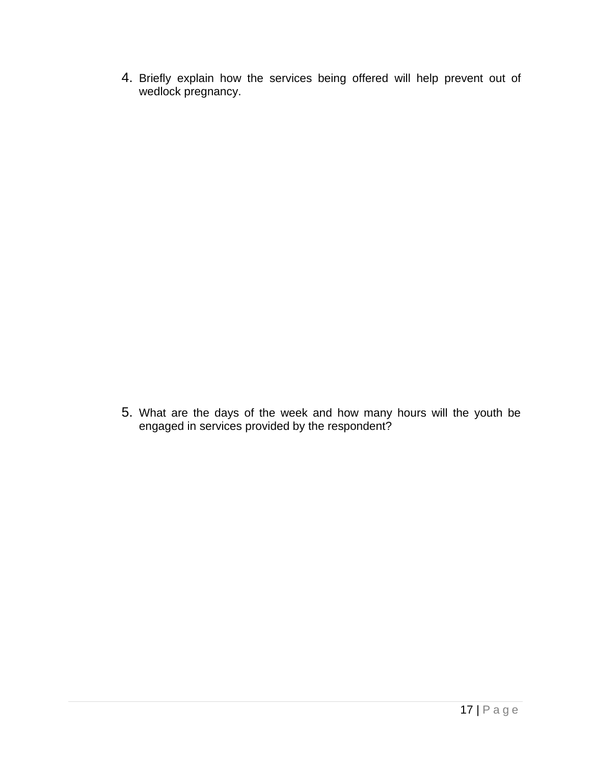4. Briefly explain how the services being offered will help prevent out of wedlock pregnancy.

5. What are the days of the week and how many hours will the youth be engaged in services provided by the respondent?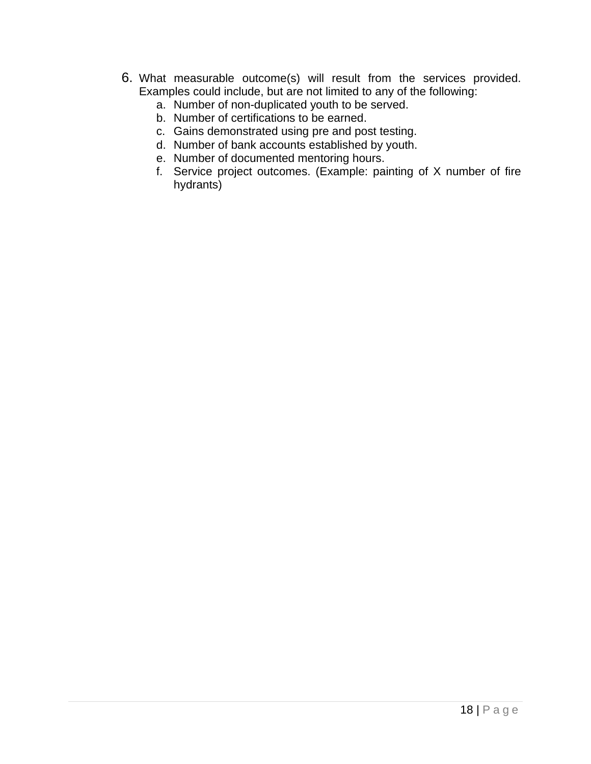- 6. What measurable outcome(s) will result from the services provided. Examples could include, but are not limited to any of the following:
	- a. Number of non-duplicated youth to be served.
	- b. Number of certifications to be earned.
	- c. Gains demonstrated using pre and post testing.
	- d. Number of bank accounts established by youth.
	- e. Number of documented mentoring hours.
	- f. Service project outcomes. (Example: painting of X number of fire hydrants)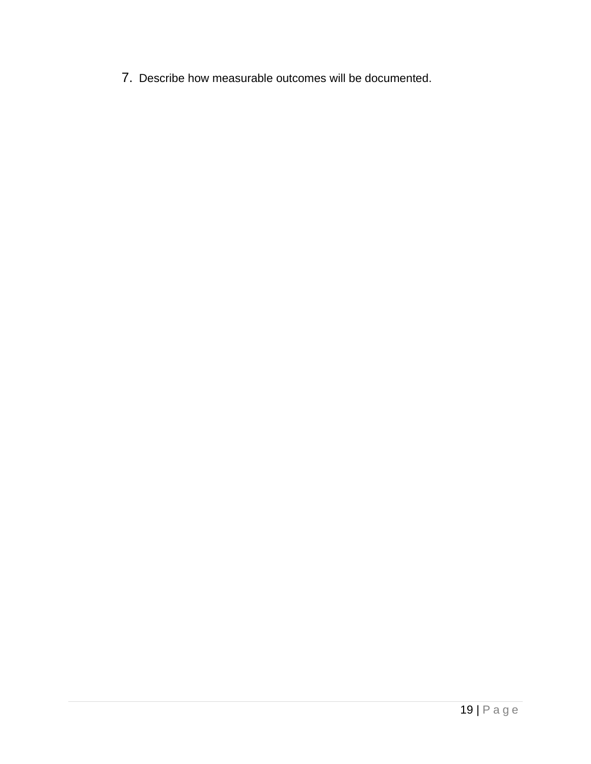7. Describe how measurable outcomes will be documented.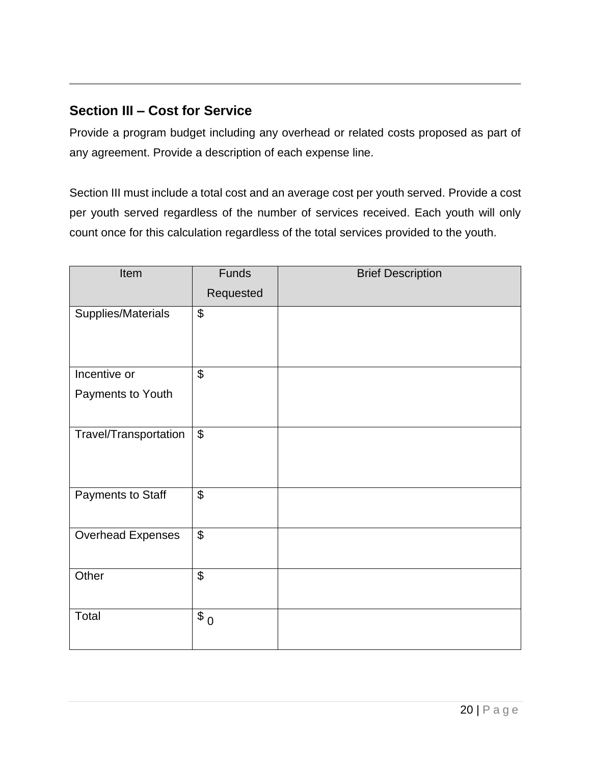## **Section III – Cost for Service**

Provide a program budget including any overhead or related costs proposed as part of any agreement. Provide a description of each expense line.

Section III must include a total cost and an average cost per youth served. Provide a cost per youth served regardless of the number of services received. Each youth will only count once for this calculation regardless of the total services provided to the youth.

| Item                  | Funds                      | <b>Brief Description</b> |
|-----------------------|----------------------------|--------------------------|
|                       | Requested                  |                          |
| Supplies/Materials    | $\boldsymbol{\mathsf{\$}}$ |                          |
| Incentive or          | $\boldsymbol{\mathsf{S}}$  |                          |
| Payments to Youth     |                            |                          |
| Travel/Transportation | $\boldsymbol{\mathsf{S}}$  |                          |
| Payments to Staff     | $\boldsymbol{\mathsf{S}}$  |                          |
| Overhead Expenses     | $\overline{\mathcal{G}}$   |                          |
| Other                 | $\mathfrak{S}$             |                          |
| Total                 | $\overline{\$}$ 0          |                          |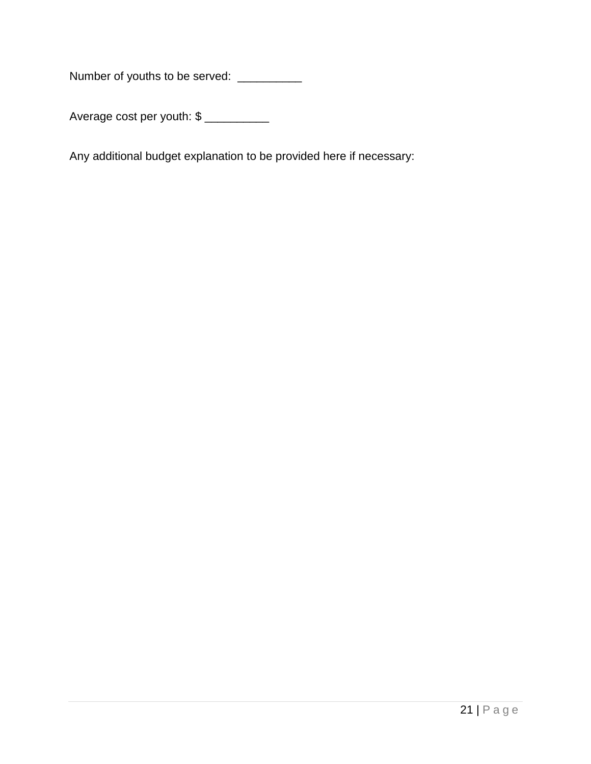Number of youths to be served: \_\_\_\_\_\_\_\_\_\_

Average cost per youth: \$

Any additional budget explanation to be provided here if necessary: